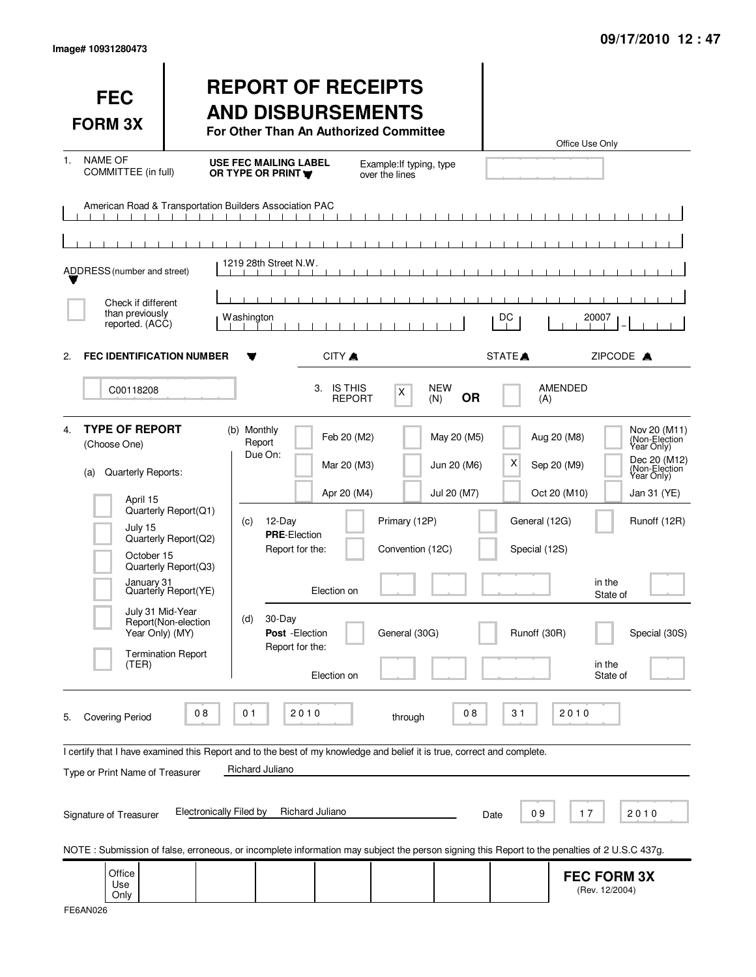| <b>FEC</b><br><b>FORM 3X</b>                                                                                                                                                |                                                                                                                                                  |                                                                                           |                                                                                                                                  | <b>REPORT OF RECEIPTS</b><br><b>AND DISBURSEMENTS</b><br>For Other Than An Authorized Committee |                                           |                                                     | Office Use Only                                                                                                                                                                                                                       |
|-----------------------------------------------------------------------------------------------------------------------------------------------------------------------------|--------------------------------------------------------------------------------------------------------------------------------------------------|-------------------------------------------------------------------------------------------|----------------------------------------------------------------------------------------------------------------------------------|-------------------------------------------------------------------------------------------------|-------------------------------------------|-----------------------------------------------------|---------------------------------------------------------------------------------------------------------------------------------------------------------------------------------------------------------------------------------------|
| <b>NAME OF</b><br>$1_{-}$<br>COMMITTEE (in full)                                                                                                                            |                                                                                                                                                  | <b>USE FEC MAILING LABEL</b><br>OR TYPE OR PRINT                                          |                                                                                                                                  | Example: If typing, type<br>over the lines                                                      |                                           |                                                     |                                                                                                                                                                                                                                       |
| American Road & Transportation Builders Association PAC                                                                                                                     |                                                                                                                                                  | $\blacksquare$                                                                            |                                                                                                                                  |                                                                                                 |                                           |                                                     |                                                                                                                                                                                                                                       |
| ADDRESS (number and street)                                                                                                                                                 |                                                                                                                                                  | 1219 28th Street N.W.                                                                     |                                                                                                                                  |                                                                                                 |                                           |                                                     |                                                                                                                                                                                                                                       |
| Check if different<br>than previously<br>reported. (ACC)                                                                                                                    |                                                                                                                                                  | <b>Washington</b>                                                                         |                                                                                                                                  |                                                                                                 |                                           | DC                                                  | 20007                                                                                                                                                                                                                                 |
| <b>FEC IDENTIFICATION NUMBER</b><br>2.                                                                                                                                      |                                                                                                                                                  |                                                                                           | CITY A                                                                                                                           |                                                                                                 |                                           | STATE <sup>A</sup>                                  | ZIPCODE A                                                                                                                                                                                                                             |
| C00118208                                                                                                                                                                   |                                                                                                                                                  |                                                                                           | 3. IS THIS                                                                                                                       | X<br><b>REPORT</b>                                                                              | <b>NEW</b><br><b>OR</b><br>(N)            | (A)                                                 | AMENDED                                                                                                                                                                                                                               |
| <b>TYPE OF REPORT</b><br>4.<br>(Choose One)<br>Quarterly Reports:<br>(a)<br>April 15<br>July 15<br>October 15<br>January 31<br>July 31 Mid-Year<br>Year Only) (MY)<br>(TER) | Quarterly Report(Q1)<br>Quarterly Report(Q2)<br>Quarterly Report(Q3)<br>Quarterly Report(YE)<br>Report(Non-election<br><b>Termination Report</b> | (b) Monthly<br>Report<br>Due On:<br>12-Day<br>(c)<br><b>PRE-Election</b><br>30-Day<br>(d) | Feb 20 (M2)<br>Mar 20 (M3)<br>Apr 20 (M4)<br>Report for the:<br>Election on<br>Post - Election<br>Report for the:<br>Election on | Primary (12P)<br>Convention (12C)<br>General (30G)                                              | May 20 (M5)<br>Jun 20 (M6)<br>Jul 20 (M7) | х<br>General (12G)<br>Special (12S)<br>Runoff (30R) | Nov 20 (M11)<br>(Non-Election<br>Year Only)<br>Aug 20 (M8)<br>Dec 20 (M12)<br>Sep 20 (M9)<br>(Non-Election)<br>Year Only)<br>Oct 20 (M10)<br>Jan 31 (YE)<br>Runoff (12R)<br>in the<br>State of<br>Special (30S)<br>in the<br>State of |
| <b>Covering Period</b><br>5.<br>I certify that I have examined this Report and to the best of my knowledge and belief it is true, correct and complete.                     | 08                                                                                                                                               | 01                                                                                        | 2010                                                                                                                             | through                                                                                         | 08                                        | 31                                                  | 2010                                                                                                                                                                                                                                  |
| Type or Print Name of Treasurer                                                                                                                                             |                                                                                                                                                  | Richard Juliano                                                                           |                                                                                                                                  |                                                                                                 |                                           |                                                     |                                                                                                                                                                                                                                       |
| Signature of Treasurer                                                                                                                                                      | <b>Electronically Filed by</b>                                                                                                                   |                                                                                           | Richard Juliano                                                                                                                  |                                                                                                 |                                           | 09<br>Date                                          | 17<br>2010                                                                                                                                                                                                                            |
|                                                                                                                                                                             |                                                                                                                                                  |                                                                                           |                                                                                                                                  |                                                                                                 |                                           |                                                     | NOTE: Submission of false, erroneous, or incomplete information may subject the person signing this Report to the penalties of 2 U.S.C 437g.                                                                                          |
| Office<br>Use<br>Only                                                                                                                                                       |                                                                                                                                                  |                                                                                           |                                                                                                                                  |                                                                                                 |                                           |                                                     | <b>FEC FORM 3X</b><br>(Rev. 12/2004)                                                                                                                                                                                                  |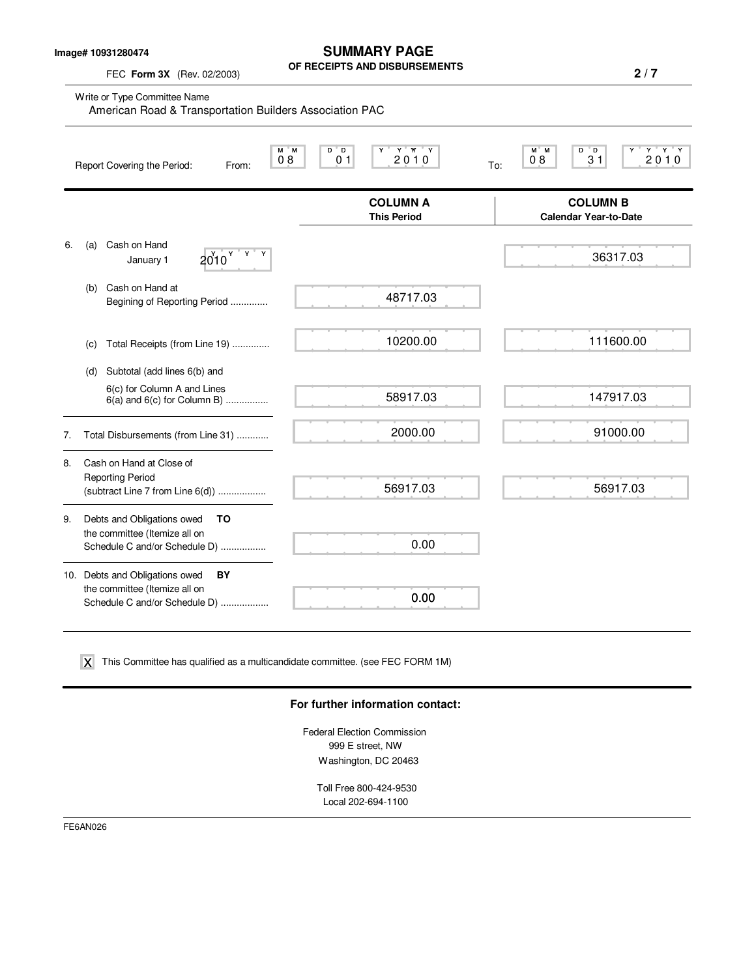**Image# 10931280474**

FEC **Form 3X** (Rev. 02/2003)

**SUMMARY PAGE OF RECEIPTS AND DISBURSEMENTS**

**2 / 7**

|    | Write or Type Committee Name<br>American Road & Transportation Builders Association PAC                |                                       |                                                                |  |  |  |  |
|----|--------------------------------------------------------------------------------------------------------|---------------------------------------|----------------------------------------------------------------|--|--|--|--|
|    | M M<br>08<br>Report Covering the Period:<br>From:                                                      | Y Y Y<br>$D^*D$<br>Y.<br>2010<br>01   | $Y$ $Y$ $Y$<br>M M<br>D<br>" D<br>Y<br>08<br>31<br>2010<br>To: |  |  |  |  |
|    |                                                                                                        | <b>COLUMN A</b><br><b>This Period</b> | <b>COLUMN B</b><br><b>Calendar Year-to-Date</b>                |  |  |  |  |
| 6. | Cash on Hand<br>(a)<br>$2010^{Y+Y+Y}$<br>January 1                                                     |                                       | 36317.03                                                       |  |  |  |  |
|    | Cash on Hand at<br>(b)<br>Begining of Reporting Period                                                 | 48717.03                              |                                                                |  |  |  |  |
|    | Total Receipts (from Line 19)<br>(C)                                                                   | 10200.00                              | 111600.00                                                      |  |  |  |  |
|    | Subtotal (add lines 6(b) and<br>(d)                                                                    |                                       |                                                                |  |  |  |  |
|    | 6(c) for Column A and Lines<br>$6(a)$ and $6(c)$ for Column B)                                         | 58917.03                              | 147917.03                                                      |  |  |  |  |
| 7. | Total Disbursements (from Line 31)                                                                     | 2000.00                               | 91000.00                                                       |  |  |  |  |
| 8. | Cash on Hand at Close of<br><b>Reporting Period</b><br>(subtract Line 7 from Line 6(d))                | 56917.03                              | 56917.03                                                       |  |  |  |  |
| 9. | Debts and Obligations owed<br>TO<br>the committee (Itemize all on<br>Schedule C and/or Schedule D)     | 0.00                                  |                                                                |  |  |  |  |
|    | 10. Debts and Obligations owed<br>BY<br>the committee (Itemize all on<br>Schedule C and/or Schedule D) | 0.00                                  |                                                                |  |  |  |  |

 $\boldsymbol{\mathsf{X}}$  This Committee has qualified as a multicandidate committee. (see FEC FORM 1M)

#### **For further information contact:**

Federal Election Commission 999 E street, NW Washington, DC 20463

Toll Free 800-424-9530 Local 202-694-1100

FE6AN026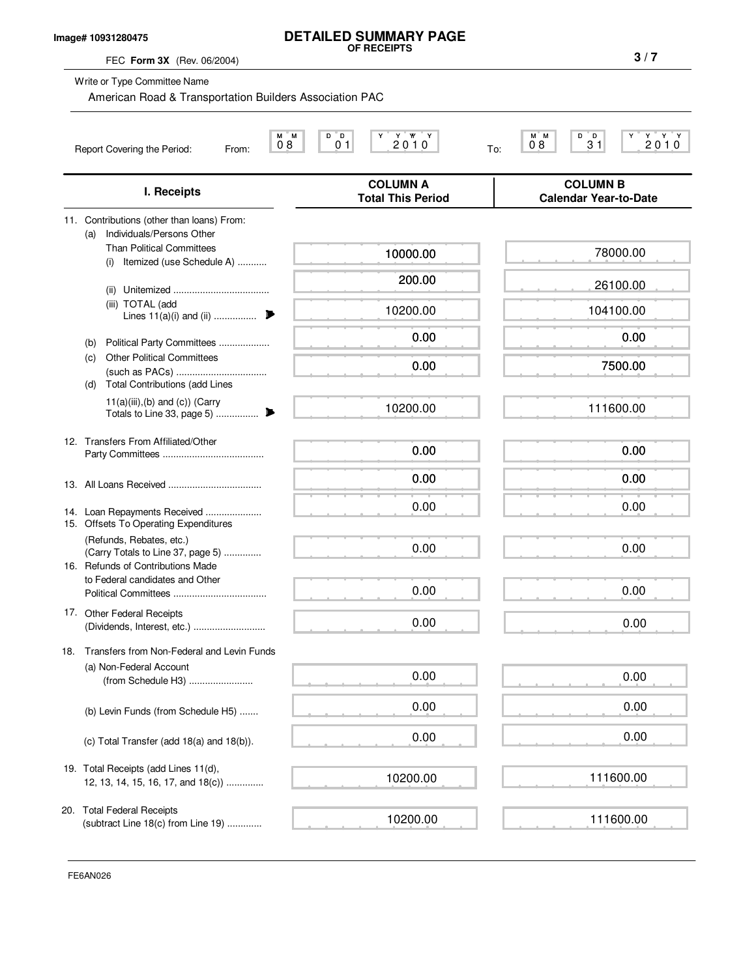### **Image# 10931280475**

# **DETAILED SUMMARY PAGE OF RECEIPTS**

FEC **Form 3X** (Rev. 06/2004)

Write or Type Committee Name

American Road & Transportation Builders Association PAC

| 2010<br>2010<br>08<br>08<br>31<br>01<br>To:<br>Report Covering the Period:<br>From:                |                                             |                                                 |  |  |  |  |
|----------------------------------------------------------------------------------------------------|---------------------------------------------|-------------------------------------------------|--|--|--|--|
| I. Receipts                                                                                        | <b>COLUMN A</b><br><b>Total This Period</b> | <b>COLUMN B</b><br><b>Calendar Year-to-Date</b> |  |  |  |  |
| 11. Contributions (other than loans) From:<br>Individuals/Persons Other<br>(a)                     |                                             |                                                 |  |  |  |  |
| <b>Than Political Committees</b><br>Itemized (use Schedule A)<br>(i)                               | 10000.00                                    | 78000.00                                        |  |  |  |  |
| (ii)                                                                                               | 200.00                                      | 26100.00                                        |  |  |  |  |
| (iii) TOTAL (add<br>Lines $11(a)(i)$ and (ii)                                                      | 10200.00                                    | 104100.00                                       |  |  |  |  |
| Political Party Committees<br>(b)                                                                  | 0.00                                        | 0.00                                            |  |  |  |  |
| <b>Other Political Committees</b><br>(C)<br><b>Total Contributions (add Lines</b><br>(d)           | 0.00                                        | 7500.00                                         |  |  |  |  |
| $11(a)(iii),(b)$ and $(c)$ ) (Carry                                                                | 10200.00                                    | 111600.00                                       |  |  |  |  |
| 12. Transfers From Affiliated/Other                                                                | 0.00                                        | 0.00                                            |  |  |  |  |
|                                                                                                    | 0.00                                        | 0.00                                            |  |  |  |  |
| 14. Loan Repayments Received<br>15. Offsets To Operating Expenditures                              | 0.00                                        | 0.00                                            |  |  |  |  |
| (Refunds, Rebates, etc.)<br>(Carry Totals to Line 37, page 5)<br>16. Refunds of Contributions Made | 0.00                                        | 0.00                                            |  |  |  |  |
| to Federal candidates and Other                                                                    | 0.00                                        | 0.00                                            |  |  |  |  |
| 17. Other Federal Receipts                                                                         | 0.00                                        | 0.00                                            |  |  |  |  |
| 18. Transfers from Non-Federal and Levin Funds                                                     |                                             |                                                 |  |  |  |  |
| (a) Non-Federal Account<br>(from Schedule H3)                                                      | 0.00                                        | 0.00                                            |  |  |  |  |
| (b) Levin Funds (from Schedule H5)                                                                 | 0.00                                        | 0.00                                            |  |  |  |  |
| (c) Total Transfer (add 18(a) and 18(b)).                                                          | 0.00                                        | 0.00                                            |  |  |  |  |
| 19. Total Receipts (add Lines 11(d),<br>12, 13, 14, 15, 16, 17, and 18(c))                         | 10200.00                                    | 111600.00                                       |  |  |  |  |
| 20. Total Federal Receipts<br>(subtract Line 18(c) from Line 19)                                   | 10200.00                                    | 111600.00                                       |  |  |  |  |

FE6AN026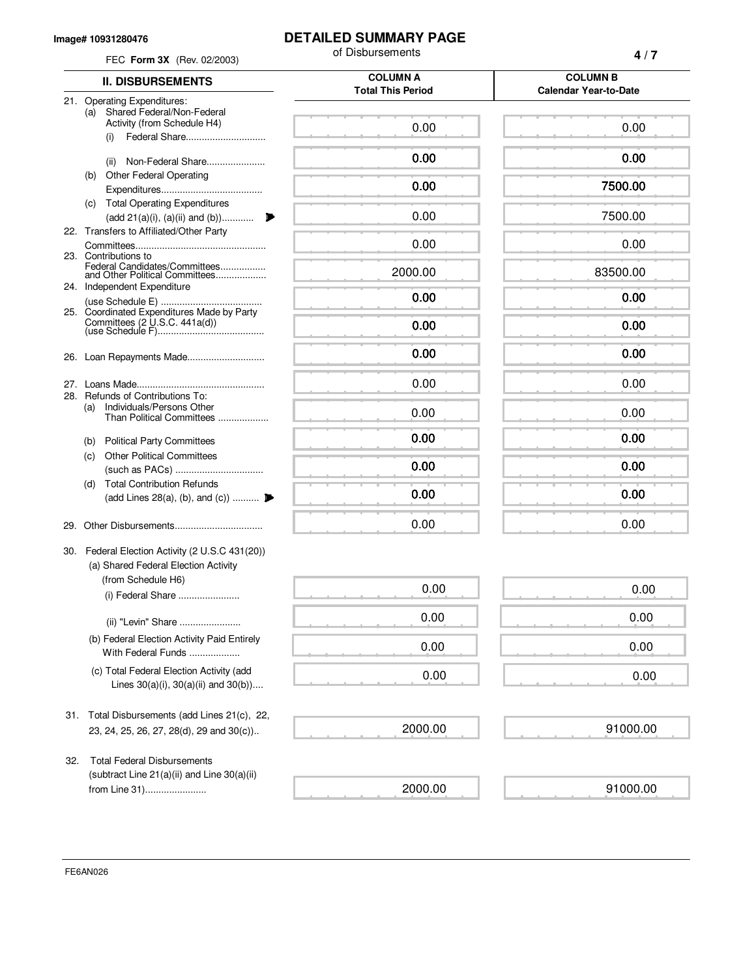#### **Image# 10931280476**

### **DETAILED SUMMARY PAGE**

| FEC Form 3X (Rev. 02/2003)                                                                        | of Disbursements                            | 4/7<br><b>COLUMN B</b>       |  |
|---------------------------------------------------------------------------------------------------|---------------------------------------------|------------------------------|--|
| <b>II. DISBURSEMENTS</b>                                                                          | <b>COLUMN A</b><br><b>Total This Period</b> |                              |  |
| 21. Operating Expenditures:                                                                       |                                             | <b>Calendar Year-to-Date</b> |  |
| Shared Federal/Non-Federal<br>(a)<br>Activity (from Schedule H4)<br>Federal Share<br>(i)          | 0.00                                        | 0.00                         |  |
| Non-Federal Share<br>(ii)                                                                         | 0.00                                        | 0.00                         |  |
| <b>Other Federal Operating</b><br>(b)                                                             |                                             |                              |  |
| <b>Total Operating Expenditures</b><br>(c)                                                        | 0.00                                        | 7500.00                      |  |
| (add 21(a)(i), (a)(ii) and (b))                                                                   | 0.00                                        | 7500.00                      |  |
| 22. Transfers to Affiliated/Other Party                                                           | 0.00                                        | 0.00                         |  |
| 23. Contributions to<br>Federal Candidates/Committees<br>and Other Political Committees           | 2000.00                                     | 83500.00                     |  |
| 24. Independent Expenditure                                                                       | 0.00                                        | 0.00                         |  |
| 25. Coordinated Expenditures Made by Party                                                        |                                             |                              |  |
|                                                                                                   | 0.00                                        | 0.00                         |  |
|                                                                                                   | 0.00                                        | 0.00                         |  |
|                                                                                                   | 0.00                                        | 0.00                         |  |
| 28. Refunds of Contributions To:<br>Individuals/Persons Other<br>(a)<br>Than Political Committees | 0.00                                        | 0.00                         |  |
| <b>Political Party Committees</b>                                                                 | 0.00                                        | 0.00                         |  |
| (b)<br><b>Other Political Committees</b><br>(c)                                                   |                                             |                              |  |
|                                                                                                   | 0.00                                        | 0.00                         |  |
| <b>Total Contribution Refunds</b><br>(d)<br>(add Lines 28(a), (b), and (c))                       | 0.00                                        | 0.00                         |  |
| 29.                                                                                               | 0.00                                        | 0.00                         |  |
|                                                                                                   |                                             |                              |  |
| 30. Federal Election Activity (2 U.S.C 431(20))<br>(a) Shared Federal Election Activity           |                                             |                              |  |
| (from Schedule H6)<br>(i) Federal Share                                                           | 0.00                                        | 0.00                         |  |
| (ii) "Levin" Share                                                                                | 0.00                                        | 0.00                         |  |
| (b) Federal Election Activity Paid Entirely<br>With Federal Funds                                 | 0.00                                        | 0.00                         |  |
| (c) Total Federal Election Activity (add<br>Lines $30(a)(i)$ , $30(a)(ii)$ and $30(b)$ )          | 0.00                                        | 0.00                         |  |
| Total Disbursements (add Lines 21(c), 22,<br>31.                                                  |                                             |                              |  |
| 23, 24, 25, 26, 27, 28(d), 29 and 30(c))                                                          | 2000.00                                     | 91000.00                     |  |
| <b>Total Federal Disbursements</b><br>32.                                                         |                                             |                              |  |
| (subtract Line $21(a)(ii)$ and Line $30(a)(ii)$<br>from Line 31)                                  | 2000.00                                     | 91000.00                     |  |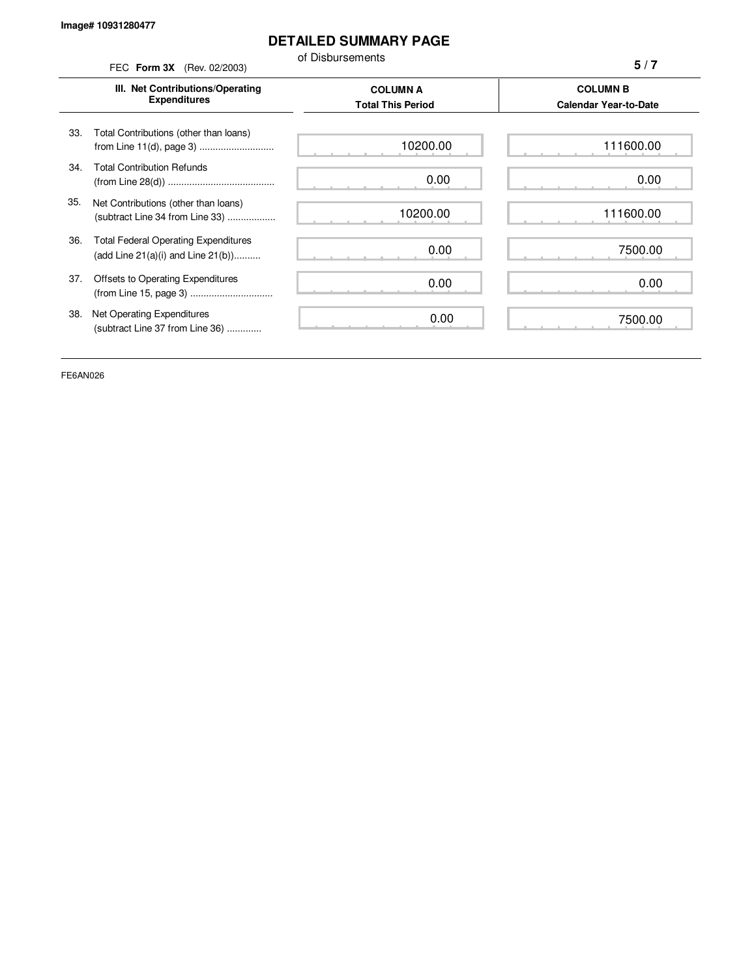## **DETAILED SUMMARY PAGE**

of Disbursements

| or Disbursements<br>FEC Form 3X (Rev. 02/2003) |                                                                                        |                                             | 5/7                                             |  |
|------------------------------------------------|----------------------------------------------------------------------------------------|---------------------------------------------|-------------------------------------------------|--|
|                                                | III. Net Contributions/Operating<br><b>Expenditures</b>                                | <b>COLUMN A</b><br><b>Total This Period</b> | <b>COLUMN B</b><br><b>Calendar Year-to-Date</b> |  |
| 33.                                            | Total Contributions (other than loans)                                                 | 10200.00                                    | 111600.00                                       |  |
| 34.                                            | <b>Total Contribution Refunds</b>                                                      | 0.00                                        | 0.00                                            |  |
| 35.                                            | Net Contributions (other than loans)<br>(subtract Line 34 from Line 33)                | 10200.00                                    | 111600.00                                       |  |
| 36.                                            | <b>Total Federal Operating Expenditures</b><br>(add Line $21(a)(i)$ and Line $21(b)$ ) | 0.00                                        | 7500.00                                         |  |
| 37.                                            | Offsets to Operating Expenditures                                                      | 0.00                                        | 0.00                                            |  |
| 38.                                            | Net Operating Expenditures<br>(subtract Line 37 from Line 36)                          | 0.00                                        | 7500.00                                         |  |

FE6AN026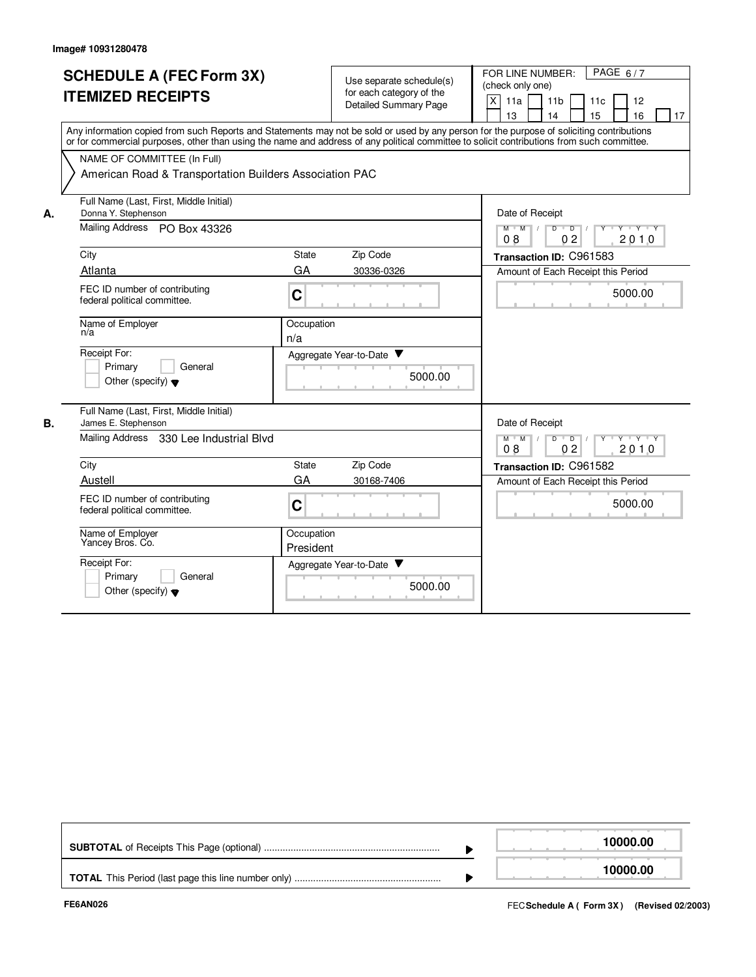|    | <b>SCHEDULE A (FEC Form 3X)</b><br><b>ITEMIZED RECEIPTS</b>                |                                                                                                                                                                                                                                                                                         |  | Use separate schedule(s)<br>for each category of the | FOR LINE NUMBER:<br>PAGE $6/7$<br>(check only one)                                                                             |  |  |  |
|----|----------------------------------------------------------------------------|-----------------------------------------------------------------------------------------------------------------------------------------------------------------------------------------------------------------------------------------------------------------------------------------|--|------------------------------------------------------|--------------------------------------------------------------------------------------------------------------------------------|--|--|--|
|    |                                                                            |                                                                                                                                                                                                                                                                                         |  | <b>Detailed Summary Page</b>                         | X<br>11a<br>11 <sub>b</sub><br>12<br>11c<br>13<br>15<br>16<br>14<br>17                                                         |  |  |  |
|    |                                                                            | Any information copied from such Reports and Statements may not be sold or used by any person for the purpose of soliciting contributions<br>or for commercial purposes, other than using the name and address of any political committee to solicit contributions from such committee. |  |                                                      |                                                                                                                                |  |  |  |
|    | NAME OF COMMITTEE (In Full)                                                |                                                                                                                                                                                                                                                                                         |  |                                                      |                                                                                                                                |  |  |  |
|    | American Road & Transportation Builders Association PAC                    |                                                                                                                                                                                                                                                                                         |  |                                                      |                                                                                                                                |  |  |  |
| А. | Full Name (Last, First, Middle Initial)<br>Donna Y. Stephenson             |                                                                                                                                                                                                                                                                                         |  |                                                      | Date of Receipt                                                                                                                |  |  |  |
|    | Mailing Address PO Box 43326                                               |                                                                                                                                                                                                                                                                                         |  |                                                      | $Y - Y - Y$<br>M<br>$\overline{M}$<br>D<br>$\overline{D}$<br>0 <sub>2</sub><br>2010<br>08                                      |  |  |  |
|    | City                                                                       | <b>State</b>                                                                                                                                                                                                                                                                            |  | Zip Code                                             | Transaction ID: C961583                                                                                                        |  |  |  |
|    | Atlanta                                                                    | GA                                                                                                                                                                                                                                                                                      |  | 30336-0326                                           | Amount of Each Receipt this Period                                                                                             |  |  |  |
|    | FEC ID number of contributing<br>federal political committee.              | $\mathbf C$                                                                                                                                                                                                                                                                             |  |                                                      | 5000.00                                                                                                                        |  |  |  |
|    | Name of Employer<br>n/a                                                    | Occupation<br>n/a                                                                                                                                                                                                                                                                       |  |                                                      |                                                                                                                                |  |  |  |
|    | Receipt For:<br>Primary<br>General<br>Other (specify) $\blacktriangledown$ |                                                                                                                                                                                                                                                                                         |  | Aggregate Year-to-Date<br>5000.00                    |                                                                                                                                |  |  |  |
| В. | Full Name (Last, First, Middle Initial)<br>James E. Stephenson             |                                                                                                                                                                                                                                                                                         |  |                                                      | Date of Receipt                                                                                                                |  |  |  |
|    | Mailing Address 330 Lee Industrial Blvd                                    |                                                                                                                                                                                                                                                                                         |  |                                                      | $\mathsf{Y} \dashv \mathsf{Y} \dashv \mathsf{Y} \dashv \mathsf{Y}$<br>$D$ $D$ $/$<br>$M$ $M$ /<br>08<br>0 <sub>2</sub><br>2010 |  |  |  |
|    | City                                                                       | State                                                                                                                                                                                                                                                                                   |  | Zip Code                                             | Transaction ID: C961582                                                                                                        |  |  |  |
|    | Austell                                                                    | GA                                                                                                                                                                                                                                                                                      |  | 30168-7406                                           | Amount of Each Receipt this Period                                                                                             |  |  |  |
|    | FEC ID number of contributing<br>federal political committee.              | $\mathbf C$                                                                                                                                                                                                                                                                             |  |                                                      | 5000.00                                                                                                                        |  |  |  |
|    | Name of Employer<br>Yancey Bros. Co.                                       | Occupation<br>President                                                                                                                                                                                                                                                                 |  |                                                      |                                                                                                                                |  |  |  |
|    | Receipt For:                                                               |                                                                                                                                                                                                                                                                                         |  | Aggregate Year-to-Date ▼                             |                                                                                                                                |  |  |  |
|    | Primary<br>General<br>Other (specify) $\blacktriangledown$                 |                                                                                                                                                                                                                                                                                         |  | 5000.00                                              |                                                                                                                                |  |  |  |

|  | 10000.00 |
|--|----------|
|  | 10000.00 |